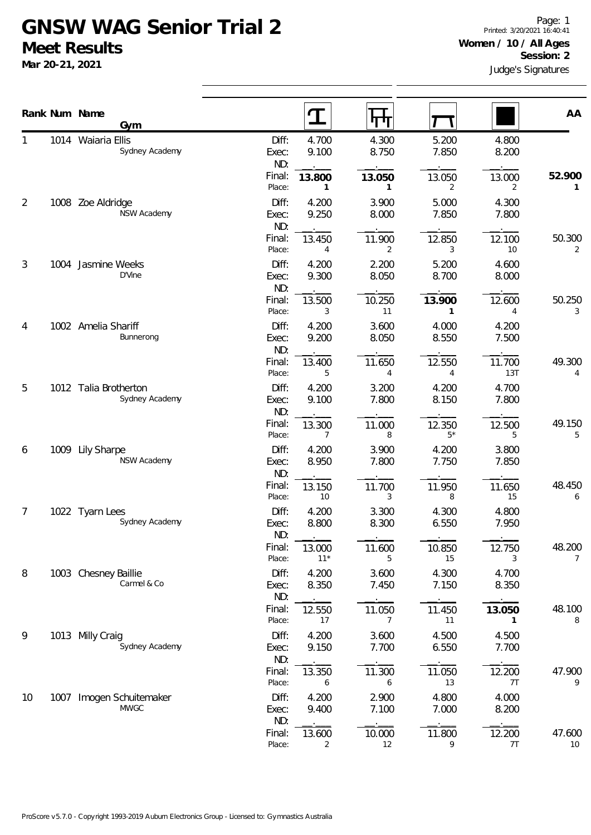## **GNSW WAG Senior Trial 2 Meet Results**

**Mar 20-21, 2021**

|    |      | Rank Num Name                           |                       | I               |                          |                        |                          | AA           |
|----|------|-----------------------------------------|-----------------------|-----------------|--------------------------|------------------------|--------------------------|--------------|
|    |      | Gym                                     |                       |                 | पण                       |                        |                          |              |
| 1  |      | 1014 Waiaria Ellis<br>Sydney Academy    | Diff:<br>Exec:<br>ND: | 4.700<br>9.100  | 4.300<br>8.750           | 5.200<br>7.850         | 4.800<br>8.200           |              |
|    |      |                                         | Final:<br>Place:      | 13.800<br>1     | 13.050<br>$\mathbf{1}$   | 13.050<br>2            | 13.000<br>2              | 52.900<br>1  |
| 2  | 1008 | Zoe Aldridge<br>NSW Academy             | Diff:<br>Exec:<br>ND: | 4.200<br>9.250  | 3.900<br>8.000           | 5.000<br>7.850         | 4.300<br>7.800           |              |
|    |      |                                         | Final:<br>Place:      | 13.450<br>4     | 11.900<br>2              | 12.850<br>3            | 12.100<br>10             | 50.300<br>2  |
| 3  |      | 1004 Jasmine Weeks<br>D'Vine            | Diff:<br>Exec:<br>ND: | 4.200<br>9.300  | 2.200<br>8.050           | 5.200<br>8.700         | 4.600<br>8.000           |              |
|    |      |                                         | Final:<br>Place:      | 13.500<br>3     | 10.250<br>11             | 13.900<br>$\mathbf{1}$ | 12.600<br>$\overline{4}$ | 50.250<br>3  |
| 4  |      | 1002 Amelia Shariff<br>Bunnerong        | Diff:<br>Exec:<br>ND: | 4.200<br>9.200  | 3.600<br>8.050           | 4.000<br>8.550         | 4.200<br>7.500           |              |
|    |      |                                         | Final:<br>Place:      | 13.400<br>5     | 11.650<br>4              | 12.550<br>4            | 11.700<br>13T            | 49.300<br>4  |
| 5  |      | 1012 Talia Brotherton<br>Sydney Academy | Diff:<br>Exec:<br>ND: | 4.200<br>9.100  | 3.200<br>7.800           | 4.200<br>8.150         | 4.700<br>7.800           |              |
|    |      |                                         | Final:<br>Place:      | 13.300<br>7     | 11.000<br>8              | 12.350<br>$5*$         | 12.500<br>5              | 49.150<br>5  |
| 6  | 1009 | <b>Lily Sharpe</b><br>NSW Academy       | Diff:<br>Exec:<br>ND: | 4.200<br>8.950  | 3.900<br>7.800           | 4.200<br>7.750         | 3.800<br>7.850           |              |
|    |      |                                         | Final:<br>Place:      | 13.150<br>10    | 11.700<br>3              | 11.950<br>8            | 11.650<br>15             | 48.450<br>6  |
| 7  |      | 1022 Tyarn Lees<br>Sydney Academy       | Diff:<br>Exec:<br>ND: | 4.200<br>8.800  | 3.300<br>8.300           | 4.300<br>6.550         | 4.800<br>7.950           |              |
|    |      |                                         | Final:<br>Place:      | 13.000<br>$11*$ | 11.600<br>5              | 10.850<br>15           | 12.750<br>3              | 48.200<br>7  |
| 8  |      | 1003 Chesney Baillie<br>Carmel & Co     | Diff:<br>Exec:<br>ND: | 4.200<br>8.350  | 3.600<br>7.450           | 4.300<br>7.150         | 4.700<br>8.350           |              |
|    |      |                                         | Final:<br>Place:      | 12.550<br>17    | 11.050<br>$\overline{7}$ | 11.450<br>11           | 13.050<br>1              | 48.100<br>8  |
| 9  |      | 1013 Milly Craig<br>Sydney Academy      | Diff:<br>Exec:<br>ND: | 4.200<br>9.150  | 3.600<br>7.700           | 4.500<br>6.550         | 4.500<br>7.700           |              |
|    |      |                                         | Final:<br>Place:      | 13.350<br>6     | 11.300<br>6              | 11.050<br>13           | 12.200<br>7T             | 47.900<br>9  |
| 10 | 1007 | Imogen Schuitemaker<br><b>MWGC</b>      | Diff:<br>Exec:<br>ND: | 4.200<br>9.400  | 2.900<br>7.100           | 4.800<br>7.000         | 4.000<br>8.200           |              |
|    |      |                                         | Final:<br>Place:      | 13.600<br>2     | 10.000<br>12             | 11.800<br>9            | 12.200<br>7T             | 47.600<br>10 |